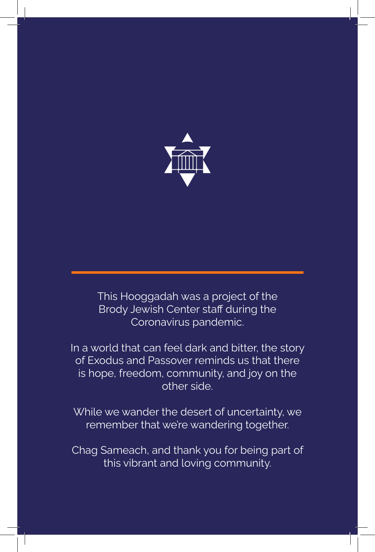

This Hooggadah was a project of the **Brody Jewish Center staff during the** Coronavirus pandemic.

In a world that can feel dark and bitter, the story of Exodus and Passover reminds us that there is hope, freedom, community, and joy on the other side.

While we wander the desert of uncertainty, we remember that we're wandering together.

Chag Sameach, and thank you for being part of this vibrant and loving community.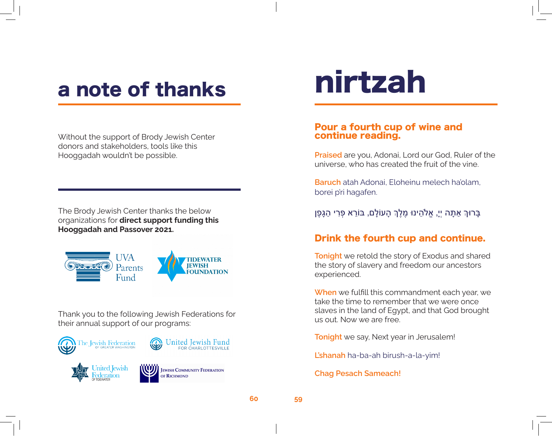### a note of thanks

Without the support of Brody Jewish Center donors and stakeholders, tools like this Hooggadah wouldn't be possible.

The Brody Jewish Center thanks the below organizations for **direct support funding this Hooggadah and Passover 2021.**



Thank you to the following Jewish Federations for their annual support of our programs:



## nirtzah

#### Pour a fourth cup of wine and continue reading.

**Praised** are you, Adonai, Lord our God, Ruler of the universe, who has created the fruit of the vine.

**Baruch** atah Adonai, Eloheinu melech ha'olam, borei p'ri hagafen.

ָבָּרוּךְ אַתָּה יִיָ, אֱלֹהֵינוּ מֶלֵךְ הָעוֹלָם, בּוֹרֵא פְּרִי הַגָּפֵן

#### Drink the fourth cup and continue.

**Tonight** we retold the story of Exodus and shared the story of slavery and freedom our ancestors experienced.

**When** we fulfill this commandment each year, we take the time to remember that we were once slaves in the land of Egypt, and that God brought us out. Now we are free.

**Tonight** we say, Next year in Jerusalem!

**L'shanah** ha-ba-ah birush-a-la-yim!

**Chag Pesach Sameach!**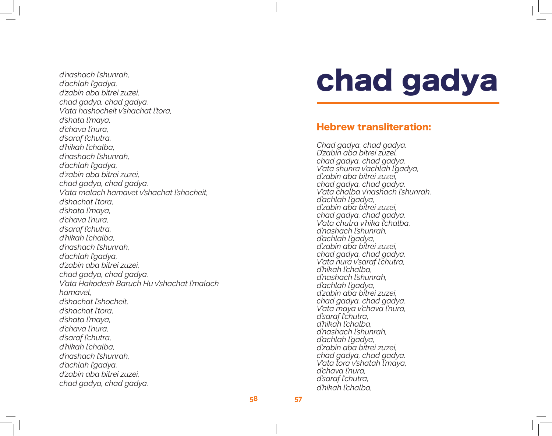*d'nashach l'shunrah, d'achlah l'gadya, d'zabin aba bitrei zuzei, chad gadya, chad gadya. V'ata hashocheit v'shachat l'tora, d'shata l'maya, d'chava l'nura, d'saraf l'chutra, d'hikah l'chalba, d'nashach l'shunrah, d'achlah l'gadya, d'zabin aba bitrei zuzei, chad gadya, chad gadya. V'ata malach hamavet v'shachat l'shocheit, d'shachat l'tora, d'shata l'maya, d'chava l'nura, d'saraf l'chutra, d'hikah l'chalba, d'nashach l'shunrah, d'achlah l'gadya, d'zabin aba bitrei zuzei, chad gadya, chad gadya. V'ata Hakodesh Baruch Hu v'shachat l'malach hamavet, d'shachat l'shocheit, d'shachat l'tora, d'shata l'maya, d'chava l'nura, d'saraf l'chutra, d'hikah l'chalba, d'nashach l'shunrah, d'achlah l'gadya, d'zabin aba bitrei zuzei, chad gadya, chad gadya.*

## chad gadya

#### Hebrew transliteration:

*Chad gadya, chad gadya. D'zabin aba bitrei zuzei, chad gadya, chad gadya. V'ata shunra v'achlah l'gadya, d'zabin aba bitrei zuzei, chad gadya, chad gadya. V'ata chalba v'nashach l'shunrah, d'achlah l'gadya, d'zabin aba bitrei zuzei, chad gadya, chad gadya. V'ata chutra v'hika l'chalba, d'nashach l'shunrah, d'achlah l'gadya, d'zabin aba bitrei zuzei, chad gadya, chad gadya. V'ata nura v'saraf l'chutra, d'hikah l'chalba, d'nashach l'shunrah, d'achlah l'gadya, d'zabin aba bitrei zuzei, chad gadya, chad gadya. V'ata maya v'chava l'nura, d'saraf l'chutra, d'hikah l'chalba, d'nashach l'shunrah, d'achlah l'gadya, d'zabin aba bitrei zuzei, chad gadya, chad gadya. V'ata tora v'shatah l'maya, d'chava l'nura, d'saraf l'chutra, d'hikah l'chalba,*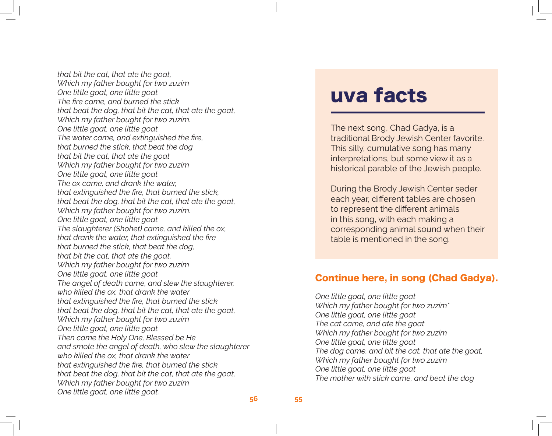*that bit the cat, that ate the goat, Which my father bought for two zuzim One little goat, one little goat The fire came, and burned the stick that beat the dog, that bit the cat, that ate the goat, Which my father bought for two zuzim. One little goat, one little goat The water came, and extinguished the fire, that burned the stick, that beat the dog that bit the cat, that ate the goat Which my father bought for two zuzim One little goat, one little goat The ox came, and drank the water, that extinguished the fire, that burned the stick, that beat the dog, that bit the cat, that ate the goat, Which my father bought for two zuzim. One little goat, one little goat The slaughterer (Shohet) came, and killed the ox, that drank the water, that extinguished the fire that burned the stick, that beat the dog, that bit the cat, that ate the goat, Which my father bought for two zuzim One little goat, one little goat The angel of death came, and slew the slaughterer, who killed the ox, that drank the water that extinguished the fire, that burned the stick that beat the dog, that bit the cat, that ate the goat, Which my father bought for two zuzim One little goat, one little goat Then came the Holy One, Blessed be He and smote the angel of death, who slew the slaughterer who killed the ox, that drank the water that extinguished the fire, that burned the stick that beat the dog, that bit the cat, that ate the goat, Which my father bought for two zuzim One little goat, one little goat.*

### uva facts

The next song, Chad Gadya, is a traditional Brody Jewish Center favorite. This silly, cumulative song has many interpretations, but some view it as a historical parable of the Jewish people.

During the Brody Jewish Center seder each year, different tables are chosen to represent the different animals in this song, with each making a corresponding animal sound when their table is mentioned in the song.

#### Continue here, in song (Chad Gadya).

*One little goat, one little goat Which my father bought for two zuzim\* One little goat, one little goat The cat came, and ate the goat Which my father bought for two zuzim One little goat, one little goat The dog came, and bit the cat, that ate the goat, Which my father bought for two zuzim One little goat, one little goat The mother with stick came, and beat the dog*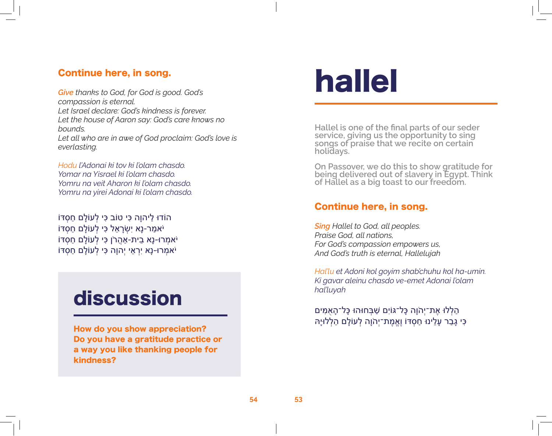#### Continue here, in song.

*Give thanks to God, for God is good. God's compassion is eternal. Let Israel declare: God's kindness is forever. Let the house of Aaron say: God's care knows no bounds. Let all who are in awe of God proclaim: God's love is everlasting.* 

*Hodu l'Adonai ki tov ki l'olam chasdo. Yomar na Yisrael ki l'olam chasdo. Yomru na veit Aharon ki l'olam chasdo. Yomru na yirei Adonai ki l'olam chasdo.*

הֹודוּ לַיהוַה כִּי טוֹב כִּי לְעוֹלָם חַסְדּוֹ יֹאמַר-נָא י ִשְׂרָאֵל כִּי לְעֹולָם חַסְּדֹו יֹאמְרּו-נָא בֵית-אַהֲרֹן כִּי לְעֹולָם חַסְּדֹו יֹאמְרּו-נָא י ִרְאֵי י ְהו ָה כִּי לְעֹולָם חַסְּדֹו

### discussion

How do you show appreciation? Do you have a gratitude practice or a way you like thanking people for kindness?

## hallel

**Hallel is one of the final parts of our seder service, giving us the opportunity to sing songs of praise that we recite on certain holidays.** 

**On Passover, we do this to show gratitude for being delivered out of slavery in Egypt. Think of Hallel as a big toast to our freedom.**

#### Continue here, in song.

*Sing Hallel to God, all peoples. Praise God, all nations, For God's compassion empowers us, And God's truth is eternal, Hallelujah*

*Hal'lu et Adoni kol goyim shab'chuhu kol ha-umin. Ki gavar aleinu chasdo ve-emet Adonai l'olam hal'luyah* 

הַֽלְלּו אֶת־י ְהֹו ָה כָּל־ּגֹוי ִם שַׁ בְּחּוהּו כָּל־הָֽאֻמִּֽים כִּי גָבַר עָלֵינּו חַסְּדֹו ו ֶֽאֱמֶת־י ְהֹו ָה לְעֹולָם הַֽלְלּוי ָּֽה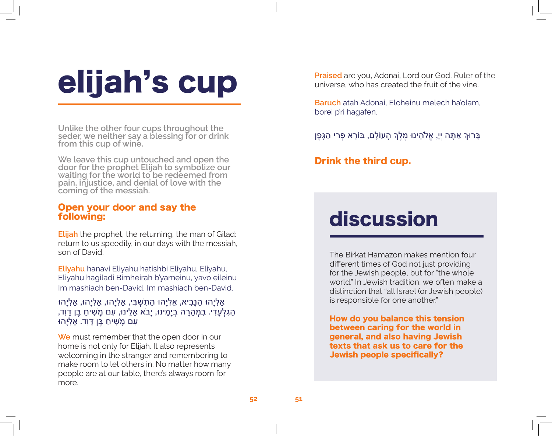## elijah's cup

**Unlike the other four cups throughout the seder, we neither say a blessing for or drink from this cup of wine.** 

**We leave this cup untouched and open the door for the prophet Elijah to symbolize our waiting for the world to be redeemed from pain, injustice, and denial of love with the coming of the messiah.**

#### Open your door and say the following:

**Elijah** the prophet, the returning, the man of Gilad: return to us speedily, in our days with the messiah, son of David.

**Eliyahu** hanavi Eliyahu hatishbi Eliyahu, Eliyahu, Eliyahu hagiladi Bimheirah b'yameinu, yavo eileinu Im mashiach ben-David, Im mashiach ben-David.

#### ּאֵלְיָהוּ הַנָּבִיא, אֵלְיָהוּ הַתִּשְׁבִּי, אֵלְיָהוּ, אֵלְיָהוּ, אֵלְיָהוּ הַגְּלְעָדִי. בִּמְהֵרַה בְיַמֵינוּ, יַבֹא אֵלֵינוּ, עִם מַשִׁיחַ בֵּן דַּוְד, ּעִם מַשִׁיחַ בֵּן דַּוְד. אֵלְיַהוּ

**We** must remember that the open door in our home is not only for Elijah. It also represents welcoming in the stranger and remembering to make room to let others in. No matter how many people are at our table, there's always room for more.

**Praised** are you, Adonai, Lord our God, Ruler of the universe, who has created the fruit of the vine.

**Baruch** atah Adonai, Eloheinu melech ha'olam, borei p'ri hagafen.

ַּבָּרוּךְ אַתָּה יְיָ, אֱלֹהֵינוּ מֶלֵךְ הָעוֹלָם, בּוֹרֵא פְּרִי הַגָּפֶן

Drink the third cup.

### discussion

The Birkat Hamazon makes mention four different times of God not just providing for the Jewish people, but for "the whole world." In Jewish tradition, we often make a distinction that "all Israel (or Jewish people) is responsible for one another."

How do you balance this tension between caring for the world in general, and also having Jewish texts that ask us to care for the Jewish people specifically?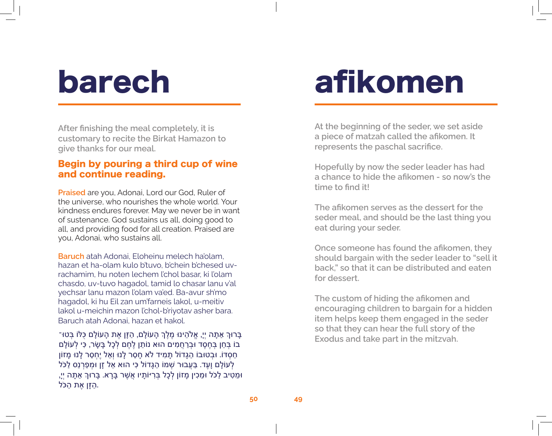## barech

**After finishing the meal completely, it is customary to recite the Birkat Hamazon to give thanks for our meal.**

#### Begin by pouring a third cup of wine and continue reading.

**Praised** are you, Adonai, Lord our God, Ruler of the universe, who nourishes the whole world. Your kindness endures forever. May we never be in want of sustenance. God sustains us all, doing good to all, and providing food for all creation. Praised are you, Adonai, who sustains all.

**Baruch** atah Adonai, Eloheinu melech ha'olam, hazan et ha-olam kulo b'tuvo, b'chein b'chesed uvrachamim, hu noten lechem l'chol basar, ki l'olam chasdo, uv-tuvo hagadol, tamid lo chasar lanu v'al yechsar lanu mazon l'olam va'ed. Ba-avur sh'mo hagadol, ki hu Eil zan um'farneis lakol, u-meitiv lakol u-meichin mazon l'chol-b'riyotav asher bara. Baruch atah Adonai, hazan et hakol.

ָּבָּרוּךְ אַתָּה יְיָ, אֱלֹהֵינוּ מֶלֶךְ הָעוֹלָם, הַזָּן אֶת הָעוֹלָם כָּלּוֹ בְּטוּ־ בֹו בְּחֵן בְּחֶסֶד ּובְרַחֲמִים הּוא נֹותֵן לֶחֶם לְכָל בָּשָׂר, כִּי לְעֹולָם חַסְּדֹו. ּובְטּובֹו הַגָּדֹול תָּמִיד לֹא חָסַר לָנּו ו ְאַל י ֶחְסַר לָנּו מָזֹון לְעוֹלָם וָעֶד. בַּעֲבוּר שְׁמֹו הַגָּדוֹל כִּי הוּא אֵל זָן וּמְפַרְנֵס לַכֹּל וּמֵטִיב לַכֹּל וּמֵכִין מָזוֹן לְכָל בְּרִיּוֹתָיו אֲשֶׁר בָּרָא. בָּרוּךְ אַתָּה יְיָ, .הַזָּן אֶת הַכֹּל

## afikomen

**At the beginning of the seder, we set aside a piece of matzah called the afikomen. It represents the paschal sacrifice.**

**Hopefully by now the seder leader has had a chance to hide the afikomen - so now's the time to find it!** 

**The afikomen serves as the dessert for the seder meal, and should be the last thing you eat during your seder.** 

**Once someone has found the afikomen, they should bargain with the seder leader to "sell it back," so that it can be distributed and eaten for dessert.**

**The custom of hiding the afikomen and encouraging children to bargain for a hidden item helps keep them engaged in the seder so that they can hear the full story of the Exodus and take part in the mitzvah.**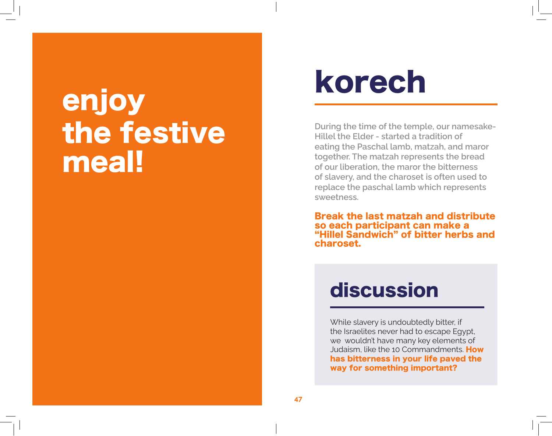## enjoy the festive meal!

## korech

**During the time of the temple, our namesake-Hillel the Elder - started a tradition of eating the Paschal lamb, matzah, and maror together. The matzah represents the bread of our liberation, the maror the bitterness of slavery, and the charoset is often used to replace the paschal lamb which represents sweetness.** 

Break the last matzah and distribute so each participant can make a "Hillel Sandwich" of bitter herbs and charoset.

### discussion

While slavery is undoubtedly bitter, if the Israelites never had to escape Egypt, we wouldn't have many key elements of Judaism, like the 10 Commandments. How has bitterness in your life paved the way for something important?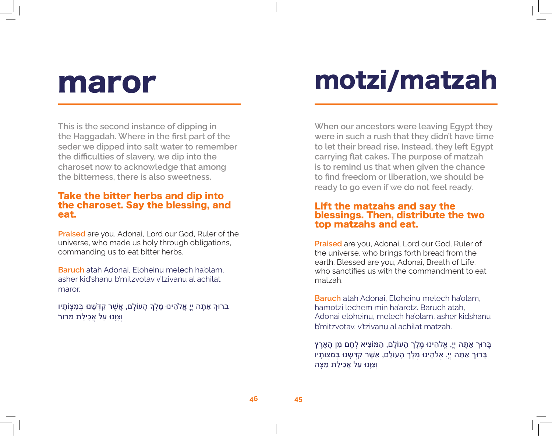## maror

**This is the second instance of dipping in the Haggadah. Where in the first part of the seder we dipped into salt water to remember the difficulties of slavery, we dip into the charoset now to acknowledge that among the bitterness, there is also sweetness.**

#### Take the bitter herbs and dip into the charoset. Say the blessing, and eat.

**Praised** are you, Adonai, Lord our God, Ruler of the universe, who made us holy through obligations, commanding us to eat bitter herbs.

**Baruch** atah Adonai, Eloheinu melech ha'olam, asher kid'shanu b'mitzvotav v'tzivanu al achilat maror.

בּרוּךְ אַתָּה יֵי אֱלֹהֵינוּ מֵלֵךְ הָעוֹלָם, אֲשֶׁר קִדְּשָׁנוּ בִּמִצְוֹתָיו ּוְצְוַנוּ עַל אֲכִילַת מרור

## motzi/matzah

**When our ancestors were leaving Egypt they were in such a rush that they didn't have time to let their bread rise. Instead, they left Egypt carrying flat cakes. The purpose of matzah is to remind us that when given the chance to find freedom or liberation, we should be ready to go even if we do not feel ready.** 

#### Lift the matzahs and say the blessings. Then, distribute the two top matzahs and eat.

**Praised** are you, Adonai, Lord our God, Ruler of the universe, who brings forth bread from the earth. Blessed are you, Adonai, Breath of Life, who sanctifies us with the commandment to eat matzah.

**Baruch** atah Adonai, Eloheinu melech ha'olam, hamotzi lechem min ha'aretz. Baruch atah, Adonai eloheinu, melech ha'olam, asher kidshanu b'mitzvotav, v'tzivanu al achilat matzah.

ָבָּרוּך אַתָּה יִיָ, אֱלהֵינוּ מֵלֵך הָעוֹלָם, הַמּוֹצִיא לֵחֵם מִן הָאָרֵץ ָבָּרוּך אַתָּה יִיָ, אֱלהֵינוּ מֵלֵך הָעוֹלָם, אֲשֵׁר קִדְּשָׁנוּ בִּמְצִוֹתָיו ו ְצִו ָּנּו עַל אֲכִילַת מַצָּה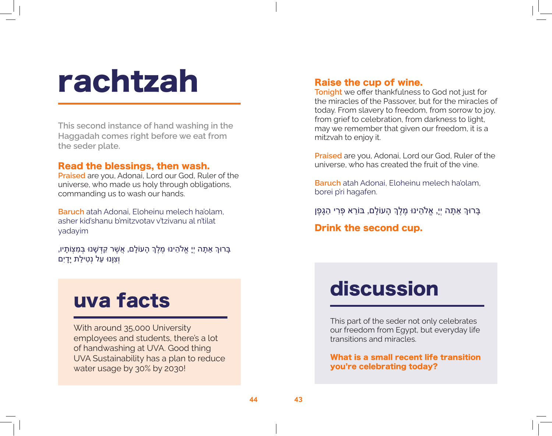## rachtzah

**This second instance of hand washing in the Haggadah comes right before we eat from the seder plate.** 

#### Read the blessings, then wash.

**Praised** are you, Adonai, Lord our God, Ruler of the universe, who made us holy through obligations, commanding us to wash our hands.

**Baruch** atah Adonai, Eloheinu melech ha'olam, asher kid'shanu b'mitzvotav v'tzivanu al n'tilat yadayim

ָבָּרוּךְ אַתָּה יְיָ אֱלֹהֵינוּ מֶלֶךְ הָעוֹלָם, אֲשֶׁר קִדְּשָׁנוּ בְּמִצְוֹתָיו, וְצִוּנוּ עַל נְט<del>ָ</del>ילַת יַדַיִם

### uva facts

With around 35,000 University employees and students, there's a lot of handwashing at UVA. Good thing UVA Sustainability has a plan to reduce water usage by 30% by 2030!

#### Raise the cup of wine.

**Tonight** we offer thankfulness to God not just for the miracles of the Passover, but for the miracles of today. From slavery to freedom, from sorrow to joy, from grief to celebration, from darkness to light, may we remember that given our freedom, it is a mitzvah to enjoy it.

**Praised** are you, Adonai, Lord our God, Ruler of the universe, who has created the fruit of the vine.

**Baruch** atah Adonai, Eloheinu melech ha'olam, borei p'ri hagafen.

ָבָּרוּךְ אַתָּה יִיָ, אֱלֹהֵינוּ מֶלֵךְ הָעוֹלָם, בּוֹרֵא פְּרִי הַגָּפֶן

Drink the second cup.

### discussion

This part of the seder not only celebrates our freedom from Egypt, but everyday life transitions and miracles.

What is a small recent life transition you're celebrating today?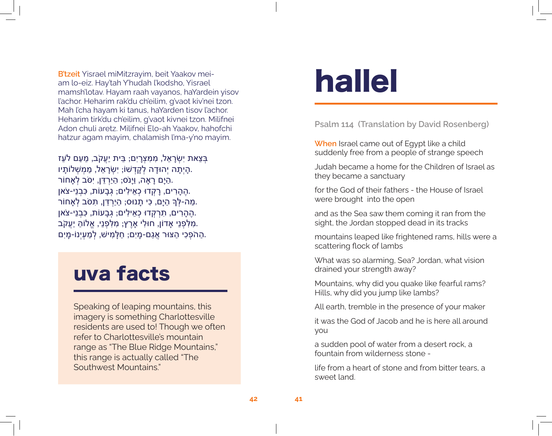**B'tzeit** Yisrael miMitzrayim, beit Yaakov meiam lo-eiz. Hay'tah Y'hudah l'kodsho, Yisrael mamsh'lotav. Hayam raah vayanos, haYardein yisov l'achor. Heharim rak'du ch'eilim, g'vaot kiv'nei tzon. Mah l'cha hayam ki tanus, haYarden tisov l'achor. Heharim tirk'du ch'eilim, g'vaot kivnei tzon. Milifnei Adon chuli aretz. Milifnei Elo-ah Yaakov, hahofchi hatzur agam mayim, chalamish l'ma-y'no mayim.

בְּצֵאת י ִשְׂרָאֵל, מִמִּצְרָי ִם; בֵּית י ַעֲקֹב, מֵעַם לֹעֵז .הָי ְתָה י ְהּודָה לְקָדְׁשֹו; י ִשְׂרָאֵל, מַמְשְׁ לֹותָיו ּהַיָּם רָאָה, וַיָּנֹס; הַיַרְדֵּן, יִסֹּב לְאָחוֹר. .הֶהָרִים, רָקְדּו כְאֵילִים; גְּבָעֹות, כִּבְנֵי-צֹאן ְּמַה-לְּךָ הַיָּם, כִּי תָנוּס; הַיַרְדֵּן, תִּסֹּב לְאָחוֹר. .הֶהָרִים, תִּרְקְדּו כְאֵילִים; גְּבָעֹות, כִּבְנֵי-צֹאן .מִלִּפְנֵי אָדֹון, חּולִי אָרֶץ; מִלִּפְנֵי, אֱלֹוהַּ י ַעֲקֹב .הַהֹפְכִי הַצּוּר אֲגַם-מַיִם; חַלַּמִישׁ, לְמַעְיָנוֹ-מַיִם.

### uva facts

Speaking of leaping mountains, this imagery is something Charlottesville residents are used to! Though we often refer to Charlottesville's mountain range as "The Blue Ridge Mountains," this range is actually called "The Southwest Mountains."

## hallel

**Psalm 114 (Translation by David Rosenberg)**

**When** Israel came out of Egypt like a child suddenly free from a people of strange speech

Judah became a home for the Children of Israel as they became a sanctuary

for the God of their fathers - the House of Israel were brought into the open

and as the Sea saw them coming it ran from the sight, the Jordan stopped dead in its tracks

mountains leaped like frightened rams, hills were a scattering flock of lambs

What was so alarming, Sea? Jordan, what vision drained your strength away?

Mountains, why did you quake like fearful rams? Hills, why did you jump like lambs?

All earth, tremble in the presence of your maker

it was the God of Jacob and he is here all around you

a sudden pool of water from a desert rock, a fountain from wilderness stone -

life from a heart of stone and from bitter tears, a sweet land.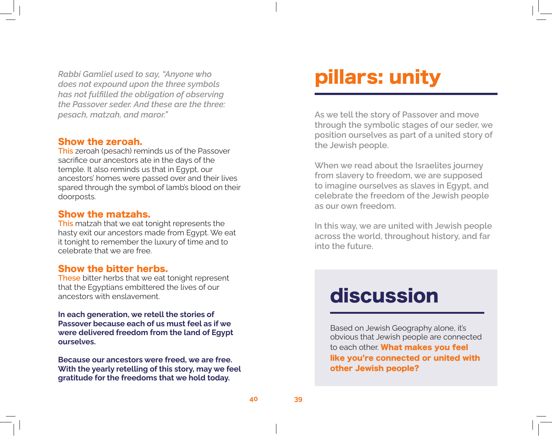*Rabbi Gamliel used to say, "Anyone who does not expound upon the three symbols has not fulfilled the obligation of observing the Passover seder. And these are the three: pesach, matzah, and maror."*

#### Show the zeroah.

**This** zeroah (pesach) reminds us of the Passover sacrifice our ancestors ate in the days of the temple. It also reminds us that in Egypt, our ancestors' homes were passed over and their lives spared through the symbol of lamb's blood on their doorposts.

#### Show the matzahs.

**This** matzah that we eat tonight represents the hasty exit our ancestors made from Egypt. We eat it tonight to remember the luxury of time and to celebrate that we are free.

#### Show the bitter herbs.

**These** bitter herbs that we eat tonight represent that the Egyptians embittered the lives of our ancestors with enslavement.

**In each generation, we retell the stories of Passover because each of us must feel as if we were delivered freedom from the land of Egypt ourselves.** 

**Because our ancestors were freed, we are free. With the yearly retelling of this story, may we feel gratitude for the freedoms that we hold today.** 

### pillars: unity

**As we tell the story of Passover and move through the symbolic stages of our seder, we position ourselves as part of a united story of the Jewish people.**

**When we read about the Israelites journey from slavery to freedom, we are supposed to imagine ourselves as slaves in Egypt, and celebrate the freedom of the Jewish people as our own freedom.** 

**In this way, we are united with Jewish people across the world, throughout history, and far into the future.** 

### discussion

Based on Jewish Geography alone, it's obvious that Jewish people are connected to each other. What makes you feel like you're connected or united with other Jewish people?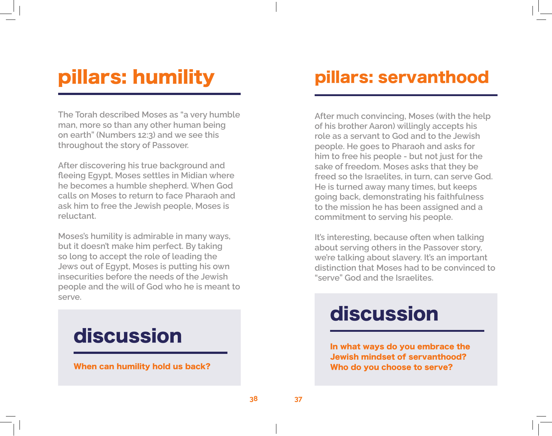### pillars: humility

**The Torah described Moses as "a very humble man, more so than any other human being on earth" (Numbers 12:3) and we see this throughout the story of Passover.**

**After discovering his true background and fleeing Egypt, Moses settles in Midian where he becomes a humble shepherd. When God calls on Moses to return to face Pharaoh and ask him to free the Jewish people, Moses is reluctant.**

**Moses's humility is admirable in many ways, but it doesn't make him perfect. By taking so long to accept the role of leading the Jews out of Egypt, Moses is putting his own insecurities before the needs of the Jewish people and the will of God who he is meant to serve.**



### pillars: servanthood

**After much convincing, Moses (with the help of his brother Aaron) willingly accepts his role as a servant to God and to the Jewish people. He goes to Pharaoh and asks for him to free his people - but not just for the sake of freedom. Moses asks that they be freed so the Israelites, in turn, can serve God. He is turned away many times, but keeps going back, demonstrating his faithfulness to the mission he has been assigned and a commitment to serving his people.** 

**It's interesting, because often when talking about serving others in the Passover story, we're talking about slavery. It's an important distinction that Moses had to be convinced to "serve" God and the Israelites.** 

### discussion

In what ways do you embrace the Jewish mindset of servanthood? Who do you choose to serve?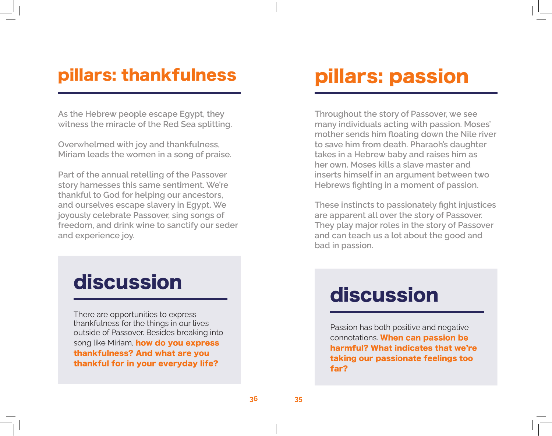### pillars: thankfulness

**As the Hebrew people escape Egypt, they witness the miracle of the Red Sea splitting.** 

**Overwhelmed with joy and thankfulness, Miriam leads the women in a song of praise.**

**Part of the annual retelling of the Passover story harnesses this same sentiment. We're thankful to God for helping our ancestors, and ourselves escape slavery in Egypt. We joyously celebrate Passover, sing songs of freedom, and drink wine to sanctify our seder and experience joy.**

### discussion

There are opportunities to express thankfulness for the things in our lives outside of Passover. Besides breaking into song like Miriam, how do you express thankfulness? And what are you thankful for in your everyday life?

### pillars: passion

**Throughout the story of Passover, we see many individuals acting with passion. Moses' mother sends him floating down the Nile river to save him from death. Pharaoh's daughter takes in a Hebrew baby and raises him as her own. Moses kills a slave master and inserts himself in an argument between two Hebrews fighting in a moment of passion.** 

**These instincts to passionately fight injustices are apparent all over the story of Passover. They play major roles in the story of Passover and can teach us a lot about the good and bad in passion.** 

### discussion

Passion has both positive and negative connotations. When can passion be harmful? What indicates that we're taking our passionate feelings too far?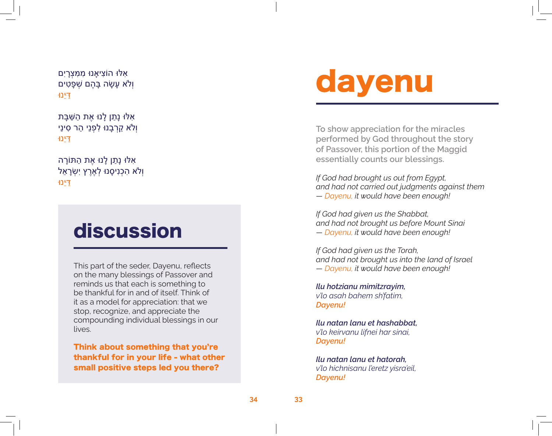אִּלּו הֹוצִיאָנּו מִמִּצְרָי ִםו ְלֹא עָשָׂה בָּהֶם שְׁ פָטִים דַּי ֵּנּו

ּ אִּלּו נָתַן לָנּו אֶת הַשַ ׁ בָּת ו ְלֹא קֵרְבָנּו לִפְנֵי הַר סִינַי דַּי ֵּנּו

אִּלּו נָתַן לָנּו אֶת הַּתֹורָה ו ְלֹא הִכְנִיסָנּו לְאֶרֶץ י ִשְׂרָאֵל דַּי ֵּנּו

### discussion

This part of the seder, Dayenu, reflects on the many blessings of Passover and reminds us that each is something to be thankful for in and of itself. Think of it as a model for appreciation: that we stop, recognize, and appreciate the compounding individual blessings in our lives.

Think about something that you're thankful for in your life - what other small positive steps led you there?

## dayenu

**To show appreciation for the miracles performed by God throughout the story of Passover, this portion of the Maggid essentially counts our blessings.** 

*If God had brought us out from Egypt, and had not carried out judgments against them — Dayenu, it would have been enough!*

*If God had given us the Shabbat, and had not brought us before Mount Sinai — Dayenu, it would have been enough!*

*If God had given us the Torah, and had not brought us into the land of Israel — Dayenu, it would have been enough!*

*Ilu hotzianu mimitzrayim, v'lo asah bahem sh'fatim, Dayenu!*

*Ilu natan lanu et hashabbat, v'lo keirvanu lifnei har sinai, Dayenu!*

*Ilu natan lanu et hatorah, v'lo hichnisanu l'eretz yisra'eil, Dayenu!*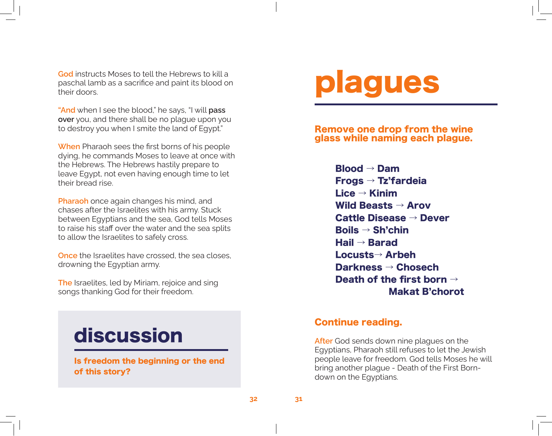**God** instructs Moses to tell the Hebrews to kill a paschal lamb as a sacrifice and paint its blood on their doors.

**"And** when I see the blood," he says, "I will **pass over** you, and there shall be no plague upon you to destroy you when I smite the land of Egypt."

**When** Pharaoh sees the first borns of his people dying, he commands Moses to leave at once with the Hebrews. The Hebrews hastily prepare to leave Egypt, not even having enough time to let their bread rise.

**Pharaoh** once again changes his mind, and chases after the Israelites with his army. Stuck between Egyptians and the sea, God tells Moses to raise his staff over the water and the sea splits to allow the Israelites to safely cross.

**Once** the Israelites have crossed, the sea closes, drowning the Egyptian army.

**The** Israelites, led by Miriam, rejoice and sing songs thanking God for their freedom.

### discussion

Is freedom the beginning or the end of this story?

## plagues

Remove one drop from the wine glass while naming each plague.

> Blood → Dam Frogs → Tz'fardeia Lice → Kinim Wild Beasts  $\rightarrow$  Arov Cattle Disease → Dever Boils → Sh'chin Hail → Barad Locusts→ Arbeh Darkness → Chosech Death of the first born  $\rightarrow$ Makat B'chorot

#### Continue reading.

**After** God sends down nine plagues on the Egyptians, Pharaoh still refuses to let the Jewish people leave for freedom. God tells Moses he will bring another plague - Death of the First Borndown on the Egyptians.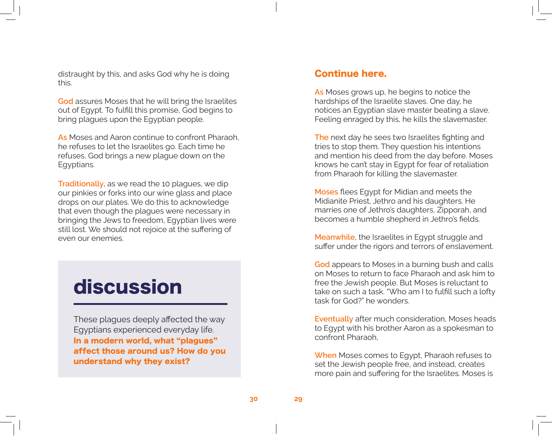distraught by this, and asks God why he is doing this.

**God** assures Moses that he will bring the Israelites out of Egypt. To fulfill this promise, God begins to bring plagues upon the Egyptian people.

**As** Moses and Aaron continue to confront Pharaoh, he refuses to let the Israelites go. Each time he refuses, God brings a new plague down on the Egyptians.

**Traditionally**, as we read the 10 plagues, we dip our pinkies or forks into our wine glass and place drops on our plates. We do this to acknowledge that even though the plagues were necessary in bringing the Jews to freedom, Egyptian lives were still lost. We should not rejoice at the suffering of even our enemies.

### discussion

These plagues deeply affected the way Egyptians experienced everyday life. In a modern world, what "plagues" affect those around us? How do you understand why they exist?

#### Continue here.

**As** Moses grows up, he begins to notice the hardships of the Israelite slaves. One day, he notices an Egyptian slave master beating a slave. Feeling enraged by this, he kills the slavemaster.

**The** next day he sees two Israelites fighting and tries to stop them. They question his intentions and mention his deed from the day before. Moses knows he can't stay in Egypt for fear of retaliation from Pharaoh for killing the slavemaster.

**Moses** flees Egypt for Midian and meets the Midianite Priest, Jethro and his daughters. He marries one of Jethro's daughters, Zipporah, and becomes a humble shepherd in Jethro's fields.

**Meanwhile**, the Israelites in Egypt struggle and suffer under the rigors and terrors of enslavement.

**God** appears to Moses in a burning bush and calls on Moses to return to face Pharaoh and ask him to free the Jewish people. But Moses is reluctant to take on such a task. "Who am I to fulfill such a lofty task for God?" he wonders.

**Eventually** after much consideration, Moses heads to Egypt with his brother Aaron as a spokesman to confront Pharaoh,

**When** Moses comes to Egypt, Pharaoh refuses to set the Jewish people free, and instead, creates more pain and suffering for the Israelites. Moses is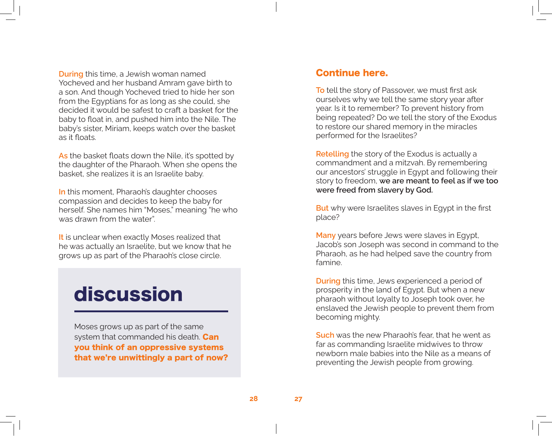**During** this time, a Jewish woman named Yocheved and her husband Amram gave birth to a son. And though Yocheved tried to hide her son from the Egyptians for as long as she could, she decided it would be safest to craft a basket for the baby to float in, and pushed him into the Nile. The baby's sister, Miriam, keeps watch over the basket as it floats.

**As** the basket floats down the Nile, it's spotted by the daughter of the Pharaoh. When she opens the basket, she realizes it is an Israelite baby.

**In** this moment, Pharaoh's daughter chooses compassion and decides to keep the baby for herself. She names him "Moses," meaning "he who was drawn from the water".

**It** is unclear when exactly Moses realized that he was actually an Israelite, but we know that he grows up as part of the Pharaoh's close circle.

### discussion

Moses grows up as part of the same system that commanded his death. **Can** you think of an oppressive systems that we're unwittingly a part of now?

#### Continue here.

**To** tell the story of Passover, we must first ask ourselves why we tell the same story year after year. Is it to remember? To prevent history from being repeated? Do we tell the story of the Exodus to restore our shared memory in the miracles performed for the Israelites?

**Retelling** the story of the Exodus is actually a commandment and a mitzvah. By remembering our ancestors' struggle in Egypt and following their story to freedom, **we are meant to feel as if we too were freed from slavery by God.** 

**But** why were Israelites slaves in Egypt in the first place?

**Many** years before Jews were slaves in Egypt, Jacob's son Joseph was second in command to the Pharaoh, as he had helped save the country from famine.

**During** this time, Jews experienced a period of prosperity in the land of Egypt. But when a new pharaoh without loyalty to Joseph took over, he enslaved the Jewish people to prevent them from becoming mighty.

**Such** was the new Pharaoh's fear, that he went as far as commanding Israelite midwives to throw newborn male babies into the Nile as a means of preventing the Jewish people from growing.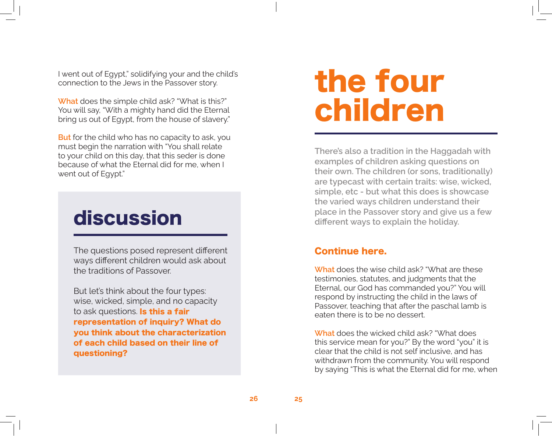I went out of Egypt," solidifying your and the child's connection to the Jews in the Passover story.

**What** does the simple child ask? "What is this?" You will say, "With a mighty hand did the Eternal bring us out of Egypt, from the house of slavery."

**But** for the child who has no capacity to ask, you must begin the narration with "You shall relate to your child on this day, that this seder is done because of what the Eternal did for me, when I went out of Egypt."

### discussion

The questions posed represent different ways different children would ask about the traditions of Passover.

But let's think about the four types: wise, wicked, simple, and no capacity to ask questions. Is this a fair representation of inquiry? What do you think about the characterization of each child based on their line of questioning?

## the four children

**There's also a tradition in the Haggadah with examples of children asking questions on their own. The children (or sons, traditionally) are typecast with certain traits: wise, wicked, simple, etc - but what this does is showcase the varied ways children understand their place in the Passover story and give us a few different ways to explain the holiday.**

#### Continue here.

**What** does the wise child ask? "What are these testimonies, statutes, and judgments that the Eternal, our God has commanded you?" You will respond by instructing the child in the laws of Passover, teaching that after the paschal lamb is eaten there is to be no dessert.

**What** does the wicked child ask? "What does this service mean for you?" By the word "you" it is clear that the child is not self inclusive, and has withdrawn from the community. You will respond by saying "This is what the Eternal did for me, when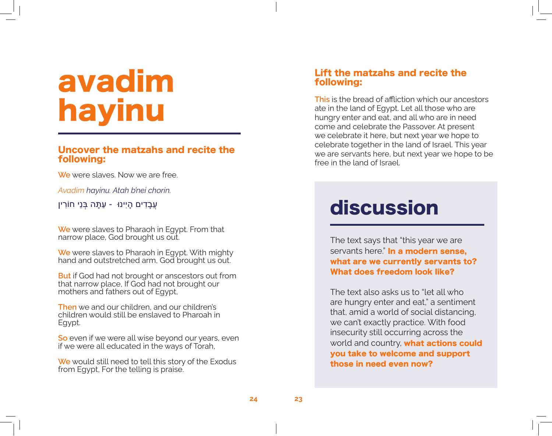## avadim hayinu

#### Uncover the matzahs and recite the following:

**We** were slaves. Now we are free.

*Avadim hayinu. Atah b'nei chorin.*

עֲבָדִים הָי ִינּו - עַתָּה בְּנֵי חֹורִין

**We** were slaves to Pharaoh in Egypt. From that narrow place, God brought us out.

**We** were slaves to Pharaoh in Egypt. With mighty hand and outstretched arm, God brought us out.

**But** if God had not brought or anscestors out from that narrow place, If God had not brought our mothers and fathers out of Egypt,

**Then** we and our children, and our children's children would still be enslaved to Pharoah in Egypt.

**So** even if we were all wise beyond our years, even if we were all educated in the ways of Torah,

**We** would still need to tell this story of the Exodus from Egypt, For the telling is praise.

#### Lift the matzahs and recite the following:

**This** is the bread of affliction which our ancestors ate in the land of Egypt. Let all those who are hungry enter and eat, and all who are in need come and celebrate the Passover. At present we celebrate it here, but next year we hope to celebrate together in the land of Israel. This year we are servants here, but next year we hope to be free in the land of Israel.

### discussion

The text says that "this year we are servants here." In a modern sense, what are we currently servants to? What does freedom look like?

The text also asks us to "let all who are hungry enter and eat," a sentiment that, amid a world of social distancing, we can't exactly practice. With food insecurity still occurring across the world and country, what actions could you take to welcome and support those in need even now?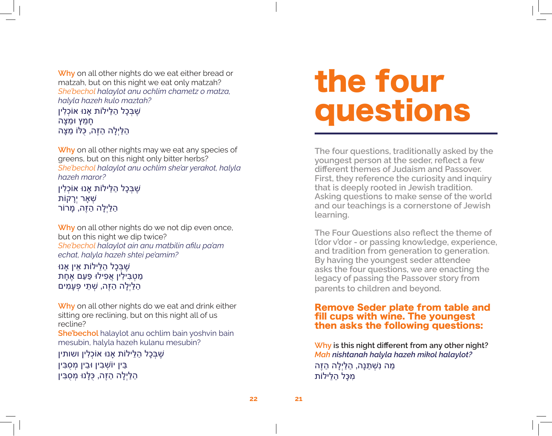**Why** on all other nights do we eat either bread or matzah, but on this night we eat only matzah? *She'bechol halaylot anu ochlim chametz o matza, halyla hazeh kulo maztah?*

שֶׁ בְּכָל הַלֵּילֹות אָנּו אֹוכְלִין חָמֵץ ּומַצָּה הַלַּי ְלָה הַזֶּה, כֻּּלֹו מַצָּה

**Why** on all other nights may we eat any species of greens, but on this night only bitter herbs? *She'bechol halaylot anu ochlim she'ar yerakot, halyla hazeh maror?*

שֶׁ בְּכָל הַלֵּילֹות אָנּו אֹוכְלִין שְׁאָר יִר<u>ַ</u>קוֹת הַלַּי ְלָה הַזֶּה, מָרֹור

**Why** on all other nights do we not dip even once, but on this night we dip twice? *She'bechol halaylot ain anu matbilin afilu pa'am echat, halyla hazeh shtei pe'amim?*

ּשֶׁבָּכָל הַלֵּילוֹת אֵין אַנוּ מַטְבִּילִין אֲפִילּו פַּעַם אֶחָת הַלַּי ְלָה הַזֶּה, שְׁ תֵּי פְעָמִים

**Why** on all other nights do we eat and drink either sitting ore reclining, but on this night all of us recline?

**She'bechol** halaylot anu ochlim bain yoshvin bain mesubin, halyla hazeh kulanu mesubin?

שֶׁ בְּכָל הַלֵּילֹות אָנּו אֹוכְלִין ושותין בֵּין יֹושְׁ בִין ּובֵין מְסֻבִּין הַלַּי ְלָה הַזֶּה, כֻּלָּנּו מְסֻבִּין

## the four questions

**The four questions, traditionally asked by the youngest person at the seder, reflect a few different themes of Judaism and Passover. First, they reference the curiosity and inquiry that is deeply rooted in Jewish tradition. Asking questions to make sense of the world and our teachings is a cornerstone of Jewish learning.** 

**The Four Questions also reflect the theme of l'dor v'dor - or passing knowledge, experience, and tradition from generation to generation. By having the youngest seder attendee asks the four questions, we are enacting the legacy of passing the Passover story from parents to children and beyond.**

#### Remove Seder plate from table and fill cups with wine. The youngest then asks the following questions:

**Why is this night different from any other night?** *Mah nishtanah halyla hazeh mikol halaylot?* מַה נִּשְׁ תַּנָּה, הַלַּי ְלָה הַזֶּה מִכָּל הַלֵּילֹות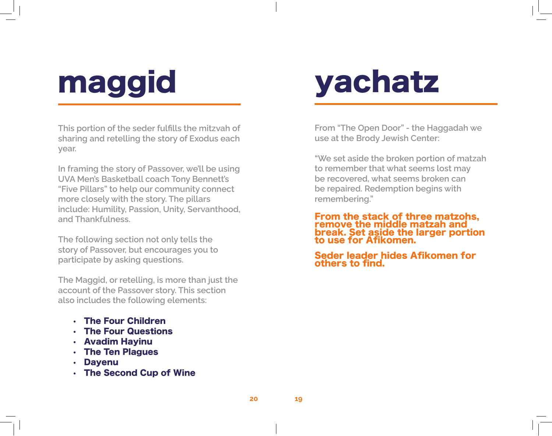## maggid

**This portion of the seder fulfills the mitzvah of sharing and retelling the story of Exodus each year.**

**In framing the story of Passover, we'll be using UVA Men's Basketball coach Tony Bennett's "Five Pillars" to help our community connect more closely with the story. The pillars include: Humility, Passion, Unity, Servanthood, and Thankfulness.** 

**The following section not only tells the story of Passover, but encourages you to participate by asking questions.** 

**The Maggid, or retelling, is more than just the account of the Passover story. This section also includes the following elements:** 

- The Four Children
- The Four Questions
- Avadim Hayinu
- The Ten Plagues
- **Dayenu**
- The Second Cup of Wine

## yachatz

**From "The Open Door" - the Haggadah we use at the Brody Jewish Center:**

**"We set aside the broken portion of matzah to remember that what seems lost may be recovered, what seems broken can be repaired. Redemption begins with remembering."**

From the stack of three matzohs, remove the middle matzah and break. Set aside the larger portion to use for Afikomen.

Seder leader hides Afikomen for others to find.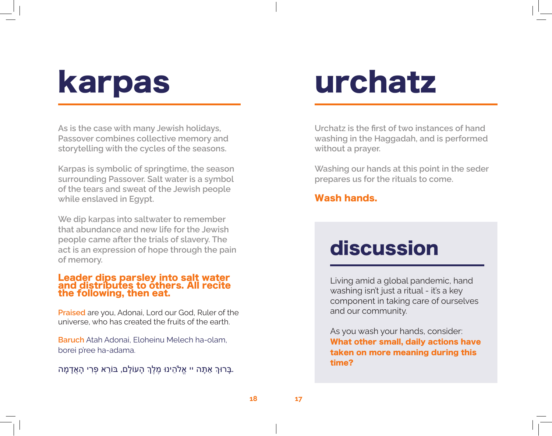## karpas

**As is the case with many Jewish holidays, Passover combines collective memory and storytelling with the cycles of the seasons.**

**Karpas is symbolic of springtime, the season surrounding Passover. Salt water is a symbol of the tears and sweat of the Jewish people while enslaved in Egypt.**

**We dip karpas into saltwater to remember that abundance and new life for the Jewish people came after the trials of slavery. The act is an expression of hope through the pain of memory.**

#### Leader dips parsley into salt water and distributes to others. All recite the following, then eat.

**Praised** are you, Adonai, Lord our God, Ruler of the universe, who has created the fruits of the earth.

**Baruch** Atah Adonai, Eloheinu Melech ha-olam, borei p'ree ha-adama.

.בָּרּוְך אַתָּה יי אֱלֹהֵינּו מֶלְֶך הָעֹולָם, ּבֹורֵא פְּרִי הָאֲדָמָה

## urchatz

**Urchatz is the first of two instances of hand washing in the Haggadah, and is performed without a prayer.** 

**Washing our hands at this point in the seder prepares us for the rituals to come.** 

#### Wash hands.

### discussion

Living amid a global pandemic, hand washing isn't just a ritual - it's a key component in taking care of ourselves and our community.

As you wash your hands, consider: What other small, daily actions have taken on more meaning during this time?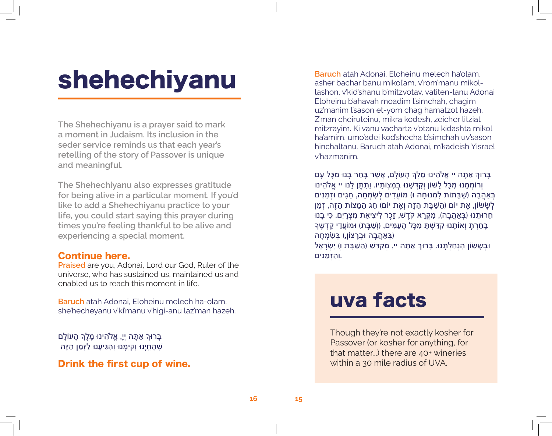## shehechiyanu

**The Shehechiyanu is a prayer said to mark a moment in Judaism. Its inclusion in the seder service reminds us that each year's retelling of the story of Passover is unique and meaningful.**

**The Shehechiyanu also expresses gratitude for being alive in a particular moment. If you'd like to add a Shehechiyanu practice to your life, you could start saying this prayer during times you're feeling thankful to be alive and experiencing a special moment.**

#### Continue here.

**Praised** are you, Adonai, Lord our God, Ruler of the universe, who has sustained us, maintained us and enabled us to reach this moment in life.

**Baruch** atah Adonai, Eloheinu melech ha-olam, she'hecheyanu v'ki'manu v'higi-anu laz'man hazeh.

ָבָּרוּךְ אַתָּה יְיָ, אֱלֹהֵינוּ מֶלֶךְ הָעוֹלָם ּשֶׁהֶחֱיָנוּ וְקִיְּמָנוּ וְהָגִיעָנוּ לַזְּמַן הַזֶּה

#### Drink the first cup of wine.

**Baruch** atah Adonai, Eloheinu melech ha'olam, asher bachar banu mikol'am, v'rom'manu mikollashon, v'kid'shanu b'mitzvotav, vatiten-lanu Adonai Eloheinu b'ahavah moadim l'simchah, chagim uz'manim l'sason et-yom chag hamatzot hazeh. Z'man cheiruteinu, mikra kodesh, zeicher litziat mitzrayim. Ki vanu vacharta v'otanu kidashta mikol ha'amim. umo'adei kod'shecha b'simchah uv'sason hinchaltanu. Baruch atah Adonai, m'kadeish Yisrael v'hazmanim.

בָּרּוְך אַתָּה יי אֱלֹהֵינּו מֶלְֶך הָעֹולָם, אֲשֶׁ ר בָּחַר בָּנּו מִכָּל עָם ו ְרֹומְמָנּו מִכָּל לָׁשֹון ו ְקִדְּשָׁ נּו בְּמִצְֹותָיו. ו ַתִּתֶּן לָנּו יי אֱלֹהֵינּו בְּאַהֲבָה )שַׁ בָּתֹות לִמְנּוחָה ּו( מֹועֲדִים לְשִׂמְחָה, חַגִּים ּוזְמַנִּים לְשָׁשׂוֹן, אֶת יוֹם (הַשַּׁבָּת הַזֶה וְאֶת יוֹם) חַג הַמַצוֹת הַזֶה, זְמַן ּחֵרוּתֵנוּ (בְּאַהֲבָה), מִקְרַא קֹדֵשׁ, זֶכֶר לִיצִיאַת מִצְרַיִם. כִּי בָנוּ ּבָחַרְתָּ וְאוֹתָנוּ קִדַּשְׁתָּ מִכָּל הַעַמִּים, (וְשַׁבַּת) וּמוֹעֵדֵי קַדְשֶׁךָ )בְּאַהֲבָה ּובְרָצֹון,( בְּשִׂמְחָה ּובְשָׂׂשֹון הִנְחַלְתָּנּו. בָּרּוְך אַתָּה יי, מְקַדֵּׁש )הַשַׁ בָּת ו ְ( י ִשְׂרָאֵל .ו ְהַזְּמַנִּים

### uva facts

Though they're not exactly kosher for Passover (or kosher for anything, for that matter...) there are 40+ wineries within a 30 mile radius of UVA.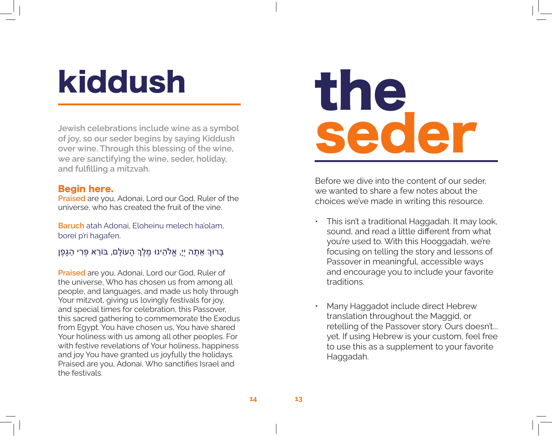## kiddush

**Jewish celebrations include wine as a symbol of joy, so our seder begins by saying Kiddush over wine. Through this blessing of the wine, we are sanctifying the wine, seder, holiday, and fulfilling a mitzvah.** 

#### Begin here.

**Praised** are you, Adonai, Lord our God, Ruler of the universe, who has created the fruit of the vine.

**Baruch** atah Adonai, Eloheinu melech ha'olam, borei p'ri hagafen.

#### ָבָּרוּךְ אַתָּה יִיָ, אֱלֹהֵינוּ מֶלֵךְ הָעוֹלָם, בּוֹרֵא פְּרִי הַגָּפֵן

**Praised** are you, Adonai, Lord our God, Ruler of the universe, Who has chosen us from among all people, and languages, and made us holy through Your mitzvot, giving us lovingly festivals for joy, and special times for celebration, this Passover, this sacred gathering to commemorate the Exodus from Egypt. You have chosen us, You have shared Your holiness with us among all other peoples. For with festive revelations of Your holiness, happiness and joy You have granted us joyfully the holidays. Praised are you, Adonai, Who sanctifies Israel and the festivals.

## the, seder

Before we dive into the content of our seder, we wanted to share a few notes about the choices we've made in writing this resource.

- This isn't a traditional Haggadah. It may look, sound, and read a little different from what you're used to. With this Hooggadah, we're focusing on telling the story and lessons of Passover in meaningful, accessible ways and encourage you to include your favorite traditions.
- Many Haggadot include direct Hebrew translation throughout the Maggid, or retelling of the Passover story. Ours doesn't... yet. If using Hebrew is your custom, feel free to use this as a supplement to your favorite Haggadah.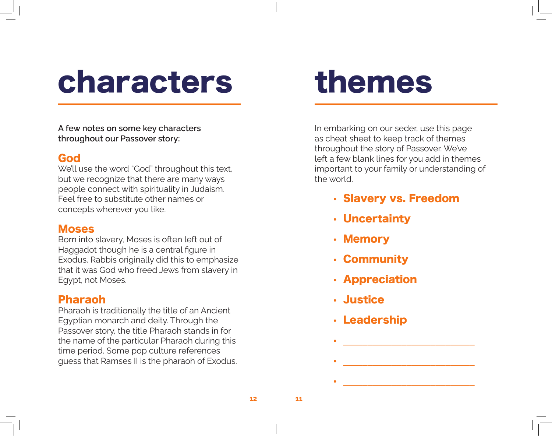## characters

**A few notes on some key characters throughout our Passover story:**

#### God

We'll use the word "God" throughout this text, but we recognize that there are many ways people connect with spirituality in Judaism. Feel free to substitute other names or concepts wherever you like.

#### Moses

Born into slavery, Moses is often left out of Haggadot though he is a central figure in Exodus. Rabbis originally did this to emphasize that it was God who freed Jews from slavery in Egypt, not Moses.

#### Pharaoh

Pharaoh is traditionally the title of an Ancient Egyptian monarch and deity. Through the Passover story, the title Pharaoh stands in for the name of the particular Pharaoh during this time period. Some pop culture references guess that Ramses II is the pharaoh of Exodus.

## themes

In embarking on our seder, use this page as cheat sheet to keep track of themes throughout the story of Passover. We've left a few blank lines for you add in themes important to your family or understanding of the world.

• Slavery vs. Freedom

•  $\frac{1}{\sqrt{2\pi}}$  ,  $\frac{1}{\sqrt{2\pi}}$  ,  $\frac{1}{\sqrt{2\pi}}$  ,  $\frac{1}{\sqrt{2\pi}}$  ,  $\frac{1}{\sqrt{2\pi}}$  ,  $\frac{1}{\sqrt{2\pi}}$  ,  $\frac{1}{\sqrt{2\pi}}$  ,  $\frac{1}{\sqrt{2\pi}}$  ,  $\frac{1}{\sqrt{2\pi}}$  ,  $\frac{1}{\sqrt{2\pi}}$  ,  $\frac{1}{\sqrt{2\pi}}$  ,  $\frac{1}{\sqrt{2\pi}}$  ,  $\frac{1}{\sqrt{2\pi}}$ 

•  $\frac{1}{\sqrt{2\pi}}$  ,  $\frac{1}{\sqrt{2\pi}}$  ,  $\frac{1}{\sqrt{2\pi}}$  ,  $\frac{1}{\sqrt{2\pi}}$  ,  $\frac{1}{\sqrt{2\pi}}$  ,  $\frac{1}{\sqrt{2\pi}}$  ,  $\frac{1}{\sqrt{2\pi}}$  ,  $\frac{1}{\sqrt{2\pi}}$  ,  $\frac{1}{\sqrt{2\pi}}$  ,  $\frac{1}{\sqrt{2\pi}}$  ,  $\frac{1}{\sqrt{2\pi}}$  ,  $\frac{1}{\sqrt{2\pi}}$  ,  $\frac{1}{\sqrt{2\pi}}$ 

•  $\frac{1}{2}$  ,  $\frac{1}{2}$  ,  $\frac{1}{2}$  ,  $\frac{1}{2}$  ,  $\frac{1}{2}$  ,  $\frac{1}{2}$  ,  $\frac{1}{2}$  ,  $\frac{1}{2}$  ,  $\frac{1}{2}$  ,  $\frac{1}{2}$  ,  $\frac{1}{2}$  ,  $\frac{1}{2}$  ,  $\frac{1}{2}$  ,  $\frac{1}{2}$  ,  $\frac{1}{2}$  ,  $\frac{1}{2}$  ,  $\frac{1}{2}$  ,  $\frac{1}{2}$  ,  $\frac$ 

- Uncertainty
- Memory
- Community
- Appreciation
- Justice
- Leadership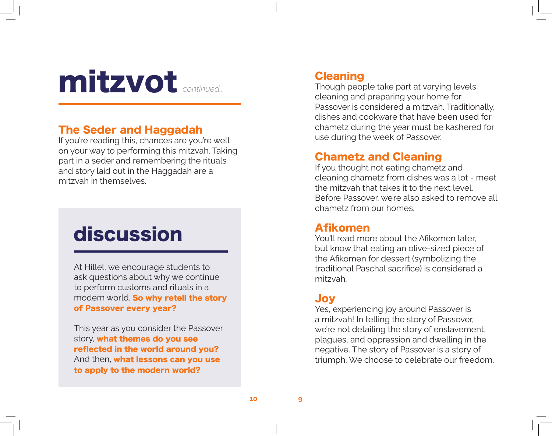### mitzvot *continued...*

#### The Seder and Haggadah

If you're reading this, chances are you're well on your way to performing this mitzvah. Taking part in a seder and remembering the rituals and story laid out in the Haggadah are a mitzvah in themselves.

### discussion

At Hillel, we encourage students to ask questions about why we continue to perform customs and rituals in a modern world. So why retell the story of Passover every year?

This year as you consider the Passover story, what themes do you see reflected in the world around you? And then, what lessons can you use to apply to the modern world?

#### Cleaning

Though people take part at varying levels, cleaning and preparing your home for Passover is considered a mitzvah. Traditionally, dishes and cookware that have been used for chametz during the year must be kashered for use during the week of Passover.

#### Chametz and Cleaning

If you thought not eating chametz and cleaning chametz from dishes was a lot - meet the mitzvah that takes it to the next level. Before Passover, we're also asked to remove all chametz from our homes.

#### Afikomen

You'll read more about the Afikomen later, but know that eating an olive-sized piece of the Afikomen for dessert (symbolizing the traditional Paschal sacrifice) is considered a mitzvah.

#### Joy

Yes, experiencing joy around Passover is a mitzvah! In telling the story of Passover, we're not detailing the story of enslavement, plagues, and oppression and dwelling in the negative. The story of Passover is a story of triumph. We choose to celebrate our freedom.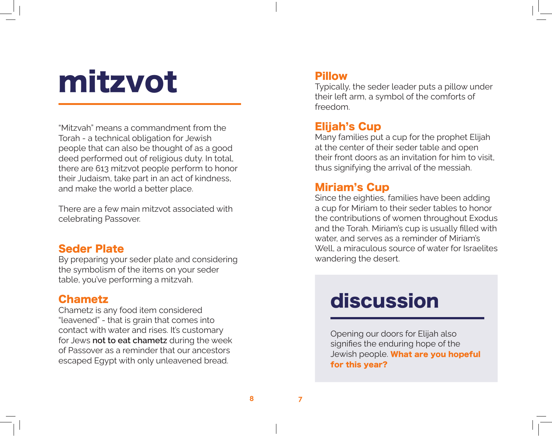## mitzvot

"Mitzvah" means a commandment from the Torah - a technical obligation for Jewish people that can also be thought of as a good deed performed out of religious duty. In total, there are 613 mitzvot people perform to honor their Judaism, take part in an act of kindness, and make the world a better place.

There are a few main mitzvot associated with celebrating Passover.

#### Seder Plate

By preparing your seder plate and considering the symbolism of the items on your seder table, you've performing a mitzvah.

#### Chametz

Chametz is any food item considered "leavened" - that is grain that comes into contact with water and rises. It's customary for Jews **not to eat chametz** during the week of Passover as a reminder that our ancestors escaped Egypt with only unleavened bread.

#### Pillow

Typically, the seder leader puts a pillow under their left arm, a symbol of the comforts of freedom.

#### Elijah's Cup

Many families put a cup for the prophet Elijah at the center of their seder table and open their front doors as an invitation for him to visit, thus signifying the arrival of the messiah.

#### Miriam's Cup

Since the eighties, families have been adding a cup for Miriam to their seder tables to honor the contributions of women throughout Exodus and the Torah. Miriam's cup is usually filled with water, and serves as a reminder of Miriam's Well, a miraculous source of water for Israelites wandering the desert.

### discussion

Opening our doors for Elijah also signifies the enduring hope of the Jewish people. What are you hopeful for this year?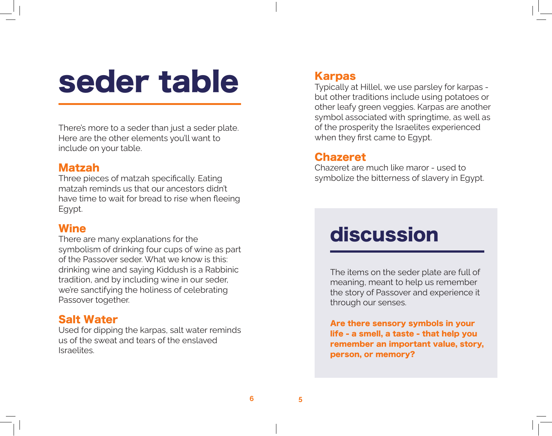## seder table

There's more to a seder than just a seder plate. Here are the other elements you'll want to include on your table.

#### Matzah

Three pieces of matzah specifically. Eating matzah reminds us that our ancestors didn't have time to wait for bread to rise when fleeing Egypt.

#### **Wine**

There are many explanations for the symbolism of drinking four cups of wine as part of the Passover seder. What we know is this: drinking wine and saying Kiddush is a Rabbinic tradition, and by including wine in our seder, we're sanctifying the holiness of celebrating Passover together.

#### Salt Water

Used for dipping the karpas, salt water reminds us of the sweat and tears of the enslaved Israelites.

#### Karpas

Typically at Hillel, we use parsley for karpas but other traditions include using potatoes or other leafy green veggies. Karpas are another symbol associated with springtime, as well as of the prosperity the Israelites experienced when they first came to Egypt.

#### Chazeret

Chazeret are much like maror - used to symbolize the bitterness of slavery in Egypt.

### discussion

The items on the seder plate are full of meaning, meant to help us remember the story of Passover and experience it through our senses.

Are there sensory symbols in your life - a smell, a taste - that help you remember an important value, story, person, or memory?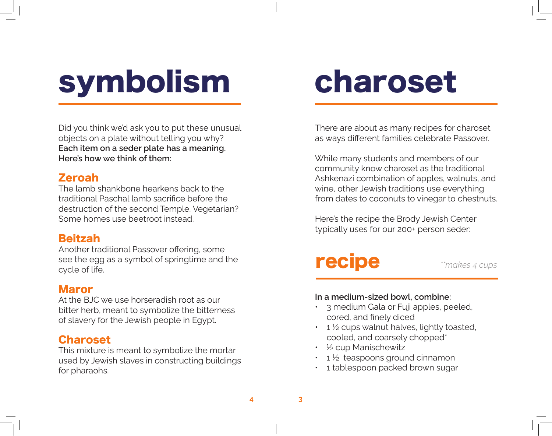## symbolism

Did you think we'd ask you to put these unusual objects on a plate without telling you why? **Each item on a seder plate has a meaning. Here's how we think of them:** 

#### Zeroah

The lamb shankbone hearkens back to the traditional Paschal lamb sacrifice before the destruction of the second Temple. Vegetarian? Some homes use beetroot instead.

#### Beitzah

Another traditional Passover offering, some see the egg as a symbol of springtime and the cycle of life.

#### Maror

At the BJC we use horseradish root as our bitter herb, meant to symbolize the bitterness of slavery for the Jewish people in Egypt.

#### Charoset

This mixture is meant to symbolize the mortar used by Jewish slaves in constructing buildings for pharaohs.

## charoset

There are about as many recipes for charoset as ways different families celebrate Passover.

While many students and members of our community know charoset as the traditional Ashkenazi combination of apples, walnuts, and wine, other Jewish traditions use everything from dates to coconuts to vinegar to chestnuts.

Here's the recipe the Brody Jewish Center typically uses for our 200+ person seder:

### recipe *\*\*makes 4 cups*

#### **In a medium-sized bowl, combine:**

- 3 medium Gala or Fuji apples, peeled, cored, and finely diced
- $\cdot$  1  $\frac{1}{2}$  cups walnut halves, lightly toasted, cooled, and coarsely chopped\*
- $\frac{1}{2}$  cup Manischewitz
- $1\frac{1}{2}$  teaspoons ground cinnamon
- 1 tablespoon packed brown sugar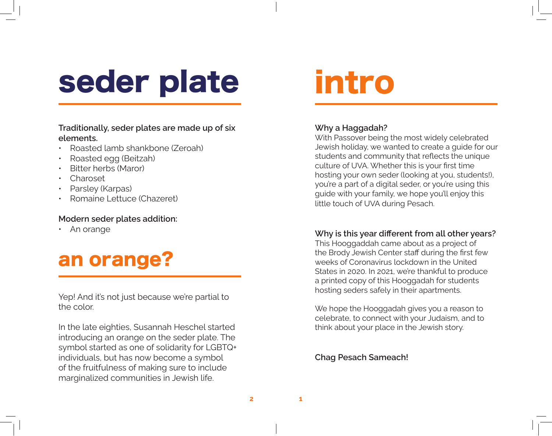## seder plate

#### **Traditionally, seder plates are made up of six elements.**

- Roasted lamb shankbone (Zeroah)
- Roasted egg (Beitzah)
- Bitter herbs (Maror)
- Charoset
- Parsley (Karpas)
- Romaine Lettuce (Chazeret)

#### **Modern seder plates addition:**

• An orange

### an orange?

Yep! And it's not just because we're partial to the color.

In the late eighties, Susannah Heschel started introducing an orange on the seder plate. The symbol started as one of solidarity for LGBTQ+ individuals, but has now become a symbol of the fruitfulness of making sure to include marginalized communities in Jewish life.

## intro

#### **Why a Haggadah?**

With Passover being the most widely celebrated Jewish holiday, we wanted to create a guide for our students and community that reflects the unique culture of UVA. Whether this is your first time hosting your own seder (looking at you, students!), you're a part of a digital seder, or you're using this guide with your family, we hope you'll enjoy this little touch of UVA during Pesach.

#### **Why is this year different from all other years?**

This Hooggaddah came about as a project of the Brody Jewish Center staff during the first few weeks of Coronavirus lockdown in the United States in 2020. In 2021, we're thankful to produce a printed copy of this Hooggadah for students hosting seders safely in their apartments.

We hope the Hooggadah gives you a reason to celebrate, to connect with your Judaism, and to think about your place in the Jewish story.

#### **Chag Pesach Sameach!**

**2**